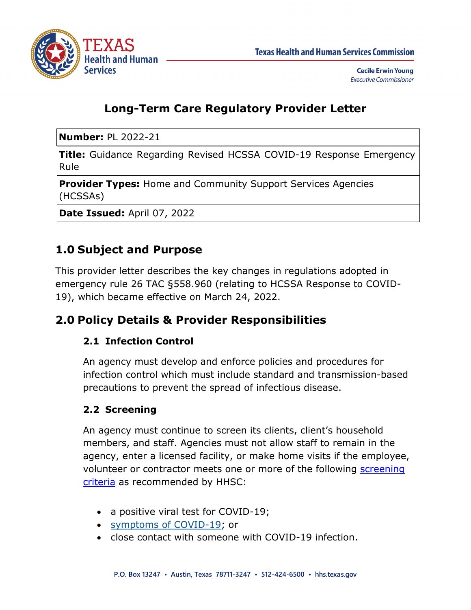

**Cecile Erwin Young Executive Commissioner** 

## **Long-Term Care Regulatory Provider Letter**

**Number:** PL 2022-21

**Title:** Guidance Regarding Revised HCSSA COVID-19 Response Emergency Rule

**Provider Types:** Home and Community Support Services Agencies (HCSSAs)

**Date Issued:** April 07, 2022

# **1.0 Subject and Purpose**

This provider letter describes the key changes in regulations adopted in emergency rule 26 TAC §558.960 (relating to HCSSA Response to COVID-19), which became effective on March 24, 2022.

### **2.0 Policy Details & Provider Responsibilities**

#### **2.1 Infection Control**

An agency must develop and enforce policies and procedures for infection control which must include standard and transmission-based precautions to prevent the spread of infectious disease.

#### **2.2 Screening**

An agency must continue to screen its clients, client's household members, and staff. Agencies must not allow staff to remain in the agency, enter a licensed facility, or make home visits if the employee, volunteer or contractor meets one or more of the following screening [criteria](https://www.cdc.gov/coronavirus/2019-ncov/hcp/infection-control-recommendations.html) as recommended by HHSC:

- a positive viral test for COVID-19;
- [symptoms of COVID-19;](https://www.cdc.gov/coronavirus/2019-ncov/symptoms-testing/symptoms.html) or
- close contact with someone with COVID-19 infection.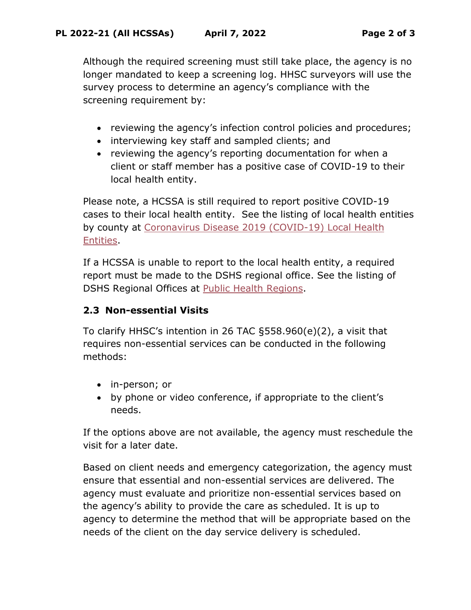Although the required screening must still take place, the agency is no longer mandated to keep a screening log. HHSC surveyors will use the survey process to determine an agency's compliance with the screening requirement by:

- reviewing the agency's infection control policies and procedures;
- interviewing key staff and sampled clients; and
- reviewing the agency's reporting documentation for when a client or staff member has a positive case of COVID-19 to their local health entity.

Please note, a HCSSA is still required to report positive COVID-19 cases to their local health entity. See the listing of local health entities by county at [Coronavirus Disease 2019 \(COVID-19\) Local Health](https://www.dshs.state.tx.us/regions/2019-nCoV-Local-Health-Entities/)  [Entities.](https://www.dshs.state.tx.us/regions/2019-nCoV-Local-Health-Entities/)

If a HCSSA is unable to report to the local health entity, a required report must be made to the DSHS regional office. See the listing of DSHS Regional Offices at [Public Health Regions.](https://www.dshs.texas.gov/regions/default.shtm)

#### **2.3 Non-essential Visits**

To clarify HHSC's intention in 26 TAC §558.960(e)(2), a visit that requires non-essential services can be conducted in the following methods:

- in-person; or
- by phone or video conference, if appropriate to the client's needs.

If the options above are not available, the agency must reschedule the visit for a later date.

Based on client needs and emergency categorization, the agency must ensure that essential and non-essential services are delivered. The agency must evaluate and prioritize non-essential services based on the agency's ability to provide the care as scheduled. It is up to agency to determine the method that will be appropriate based on the needs of the client on the day service delivery is scheduled.